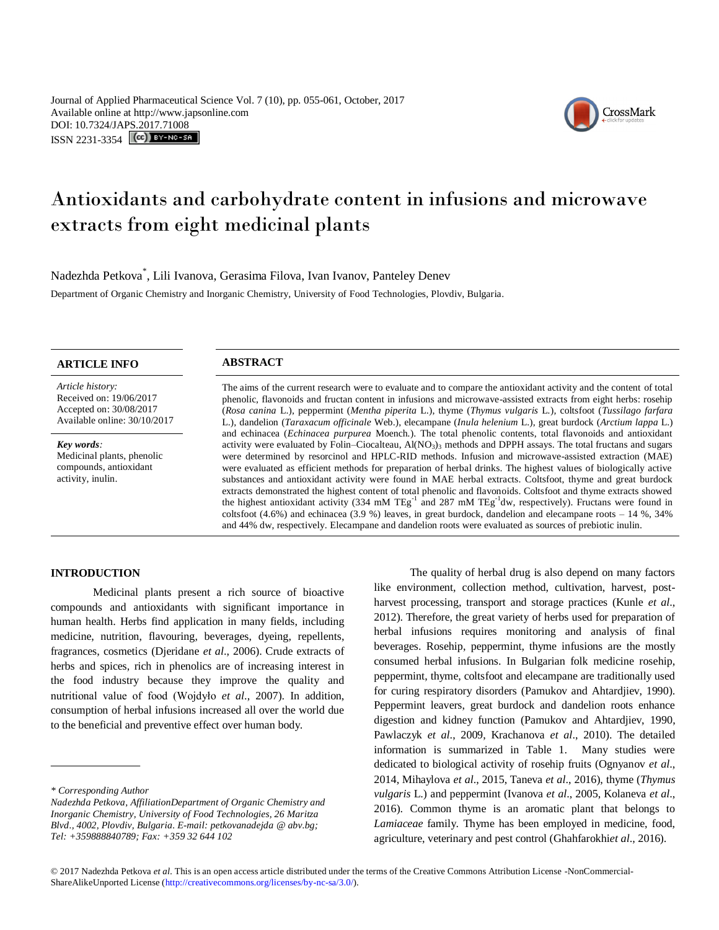Journal of Applied Pharmaceutical Science Vol. 7 (10), pp. 055-061, October, 2017 Available online at http://www.japsonline.com DOI: 10.7324/JA[PS.2017.71008](http://creativecommons.org/licenses/by-nc-sa/3.0/) ISSN 2231-3354 **(cc)** BY-NO-SA



# Antioxidants and carbohydrate content in infusions and microwave extracts from eight medicinal plants

Nadezhda Petkova\* , Lili Ivanova, Gerasima Filova, Ivan Ivanov, Panteley Denev Department of Organic Chemistry and Inorganic Chemistry, University of Food Technologies, Plovdiv, Bulgaria.

*Article history:* Received on: 19/06/2017 Accepted on: 30/08/2017 Available online: 30/10/2017

*Key words:*  Medicinal plants, phenolic compounds, antioxidant activity, inulin.

# **ARTICLE INFO ABSTRACT**

The aims of the current research were to evaluate and to compare the antioxidant activity and the content of total phenolic, flavonoids and fructan content in infusions and microwave-assisted extracts from eight herbs: rosehip (*Rosa canina* L.), peppermint (*Mentha piperita* L.), thyme (*Thymus vulgaris* L*.*)*,* coltsfoot (*Tussilago farfara*  L.)*,* dandelion (*Taraxacum officinale* Web.), elecampane (*Inula helenium* L.), great burdock (*Arctium lappa* L.) and echinacea (*Echinacea purpurea* Moench*.*). The total phenolic contents, total flavonoids and antioxidant activity were evaluated by Folin–Ciocalteau, Al(NO<sub>3</sub>)<sub>3</sub> methods and DPPH assays. The total fructans and sugars were determined by resorcinol and HPLC-RID methods. Infusion and microwave-assisted extraction (MAE) were evaluated as efficient methods for preparation of herbal drinks. The highest values of biologically active substances and antioxidant activity were found in MAE herbal extracts. Coltsfoot, thyme and great burdock extracts demonstrated the highest content of total phenolic and flavonoids. Coltsfoot and thyme extracts showed the highest antioxidant activity (334 mM TEg<sup>-1</sup> and 287 mM TEg<sup>-1</sup>dw, respectively). Fructans were found in coltsfoot  $(4.6\%)$  and echinacea  $(3.9\%)$  leaves, in great burdock, dandelion and elecampane roots  $-14\%$ , 34% and 44% dw, respectively. Elecampane and dandelion roots were evaluated as sources of prebiotic inulin.

#### **INTRODUCTION**

Medicinal plants present a rich source of bioactive compounds and antioxidants with significant importance in human health. Herbs find application in many fields, including medicine, nutrition, flavouring, beverages, dyeing, repellents, fragrances, cosmetics (Djeridane *et al*., 2006). Crude extracts of herbs and spices, rich in phenolics are of increasing interest in the food industry because they improve the quality and nutritional value of food (Wojdyło *et al*., 2007). In addition, consumption of herbal infusions increased all over the world due to the beneficial and preventive effect over human body.

The quality of herbal drug is also depend on many factors like environment, collection method, cultivation, harvest, postharvest processing, transport and storage practices (Kunle *et al*., 2012). Therefore, the great variety of herbs used for preparation of herbal infusions requires monitoring and analysis of final beverages. Rosehip, peppermint, thyme infusions are the mostly consumed herbal infusions. In Bulgarian folk medicine rosehip, peppermint, thyme, coltsfoot and elecampane are traditionally used for curing respiratory disorders (Pamukov and Ahtardjiev, 1990). Peppermint leavers, great burdock and dandelion roots enhance digestion and kidney function (Pamukov and Ahtardjiev, 1990, Pawlaczyk *et al*., 2009, Krachanova *et al*., 2010). The detailed information is summarized in Table 1. Many studies were dedicated to biological activity of rosehip fruits (Ognyanov *et al*., 2014, Mihaylova *et al*., 2015, Taneva *et al*., 2016), thyme (*Thymus vulgaris* L.) and peppermint (Ivanova *et al*., 2005, Kolaneva *et al*., 2016). Common thyme is an aromatic plant that belongs to *Lamiaceae* family. Thyme has been employed in medicine, food, agriculture, veterinary and pest control (Ghahfarokhi*et al*., 2016).

*<sup>\*</sup> Corresponding Author*

*Nadezhda Petkova, AffiliationDepartment of Organic Chemistry and Inorganic Chemistry, University of Food Technologies, 26 Maritza Blvd., 4002, Plovdiv, Bulgaria. E-mail: petkovanadejda @ abv.bg; Tel: +359888840789; Fax: +359 32 644 102*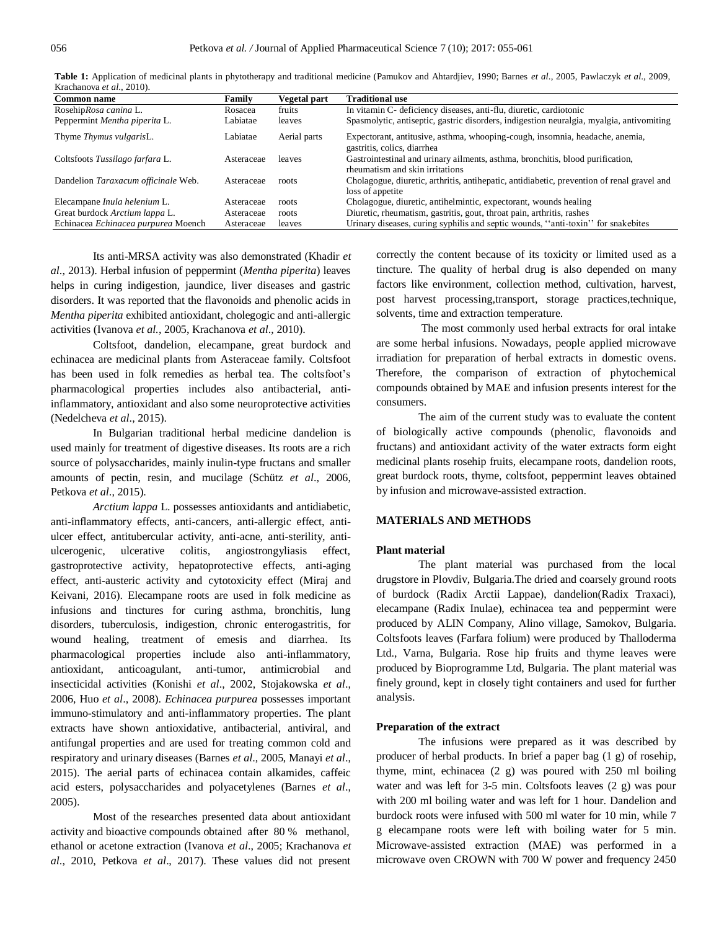| <b>Common name</b>                  | Family     | Vegetal part | <b>Traditional use</b>                                                                                            |
|-------------------------------------|------------|--------------|-------------------------------------------------------------------------------------------------------------------|
| RosehipRosa canina L.               | Rosacea    | fruits       | In vitamin C- deficiency diseases, anti-flu, diuretic, cardiotonic                                                |
| Peppermint Mentha piperita L.       | Labiatae   | leaves       | Spasmolytic, antiseptic, gastric disorders, indigestion neuralgia, myalgia, antivomiting                          |
| Thyme <i>Thymus vulgaris</i> L.     | Labiatae   | Aerial parts | Expectorant, antitusive, asthma, whooping-cough, insomnia, headache, anemia,<br>gastritis, colics, diarrhea       |
| Coltsfoots Tussilago farfara L.     | Asteraceae | leaves       | Gastrointestinal and urinary ailments, asthma, bronchitis, blood purification,<br>rheumatism and skin irritations |
| Dandelion Taraxacum officinale Web. | Asteraceae | roots        | Cholagogue, diuretic, arthritis, antihepatic, antidiabetic, prevention of renal gravel and<br>loss of appetite    |
| Elecampane Inula helenium L.        | Asteraceae | roots        | Cholagogue, diuretic, antihelmintic, expectorant, wounds healing                                                  |
| Great burdock Arctium lappa L.      | Asteraceae | roots        | Diuretic, rheumatism, gastritis, gout, throat pain, arthritis, rashes                                             |
| Echinacea Echinacea purpurea Moench | Asteraceae | leaves       | Urinary diseases, curing syphilis and septic wounds, "anti-toxin" for snakebites                                  |

**Table 1:** Application of medicinal plants in phytotherapy and traditional medicine (Pamukov and Ahtardjiev, 1990; Barnes *et al*., 2005, Pawlaczyk *et al*., 2009, Krachanova *et al*., 2010).

Its anti-MRSA activity was also demonstrated (Khadir *et al*., 2013). Herbal infusion of peppermint (*Mentha piperita*) leaves helps in curing indigestion, jaundice, liver diseases and gastric disorders. It was reported that the flavonoids and phenolic acids in *Mentha piperita* exhibited antioxidant, cholegogic and anti-allergic activities (Ivanova *et al.*, 2005, Krachanova *et al*., 2010).

Coltsfoot, dandelion, elecampane, great burdock and echinacea are medicinal plants from Asteraceae family. Coltsfoot has been used in folk remedies as herbal tea. The coltsfoot's pharmacological properties includes also antibacterial, antiinflammatory, antioxidant and also some neuroprotective activities (Nedelcheva *et al*., 2015).

In Bulgarian traditional herbal medicine dandelion is used mainly for treatment of digestive diseases. Its roots are a rich source of polysaccharides, mainly inulin-type fructans and smaller amounts of pectin, resin, and mucilage (Schütz *et al*., 2006, Petkova *et al*., 2015).

*Arctium lappa* L. possesses antioxidants and antidiabetic, anti-inflammatory effects, anti-cancers, anti-allergic effect, antiulcer effect, antitubercular activity, anti-acne, anti-sterility, antiulcerogenic, ulcerative colitis, angiostrongyliasis effect, gastroprotective activity, hepatoprotective effects, anti-aging effect, anti-austeric activity and cytotoxicity effect (Miraj and Keivani, 2016). Elecampane roots are used in folk medicine as infusions and tinctures for curing asthma, bronchitis, lung disorders, tuberculosis, indigestion, chronic enterogastritis, for wound healing, treatment of emesis and diarrhea. Its pharmacological properties include also anti-inflammatory, antioxidant, anticoagulant, anti-tumor, antimicrobial and insecticidal activities (Konishi *et al*., 2002, Stojakowska *et al*., 2006, Huo *et al*., 2008). *Echinacea purpurea* possesses important immuno-stimulatory and anti-inflammatory properties. The plant extracts have shown antioxidative, antibacterial, antiviral, and antifungal properties and are used for treating common cold and respiratory and urinary diseases (Barnes *et al*., 2005, Manayi *et al*., 2015). The aerial parts of echinacea contain alkamides, caffeic acid esters, polysaccharides and polyacetylenes (Barnes *et al*., 2005).

Most of the researches presented data about antioxidant activity and bioactive compounds obtained after 80 % methanol, ethanol or acetone extraction (Ivanova *et al*., 2005; Krachanova *et al*., 2010, Petkova *et al*., 2017). These values did not present correctly the content because of its toxicity or limited used as a tincture. The quality of herbal drug is also depended on many factors like environment, collection method, cultivation, harvest, post harvest processing,transport, storage practices,technique, solvents, time and extraction temperature.

The most commonly used herbal extracts for oral intake are some herbal infusions. Nowadays, people applied microwave irradiation for preparation of herbal extracts in domestic ovens. Therefore, the comparison of extraction of phytochemical compounds obtained by MAE and infusion presents interest for the consumers.

The aim of the current study was to evaluate the content of biologically active compounds (phenolic, flavonoids and fructans) and antioxidant activity of the water extracts form eight medicinal plants rosehip fruits, elecampane roots, dandelion roots, great burdock roots, thyme, coltsfoot, peppermint leaves obtained by infusion and microwave-assisted extraction.

## **MATERIALS AND METHODS**

## **Plant material**

The plant material was purchased from the local drugstore in Plovdiv, Bulgaria.The dried and coarsely ground roots of burdock (Radix Arctii Lappae), dandelion(Radix Traxaci), elecampane (Radix Inulae), echinacea tea and peppermint were produced by ALIN Company, Alino village, Samokov, Bulgaria. Coltsfoots leaves (Farfara folium) were produced by Thalloderma Ltd., Varna, Bulgaria. Rose hip fruits and thyme leaves were produced by Bioprogramme Ltd, Bulgaria. The plant material was finely ground, kept in closely tight containers and used for further analysis.

## **Preparation of the extract**

The infusions were prepared as it was described by producer of herbal products. In brief a paper bag (1 g) of rosehip, thyme, mint, echinacea (2 g) was poured with 250 ml boiling water and was left for 3-5 min. Coltsfoots leaves (2 g) was pour with 200 ml boiling water and was left for 1 hour. Dandelion and burdock roots were infused with 500 ml water for 10 min, while 7 g elecampane roots were left with boiling water for 5 min. Microwave-assisted extraction (MAE) was performed in a microwave oven CROWN with 700 W power and frequency 2450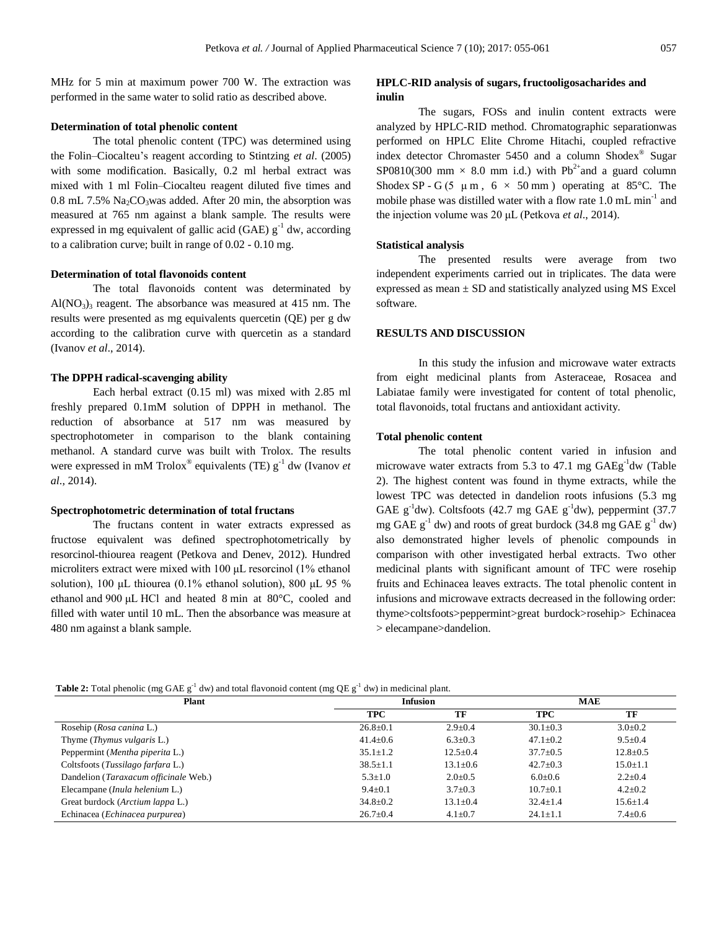MHz for 5 min at maximum power 700 W. The extraction was performed in the same water to solid ratio as described above.

#### **Determination of total phenolic content**

The total phenolic content (TPC) was determined using the Folin–Ciocalteu's reagent according to Stintzing *et al*. (2005) with some modification. Basically, 0.2 ml herbal extract was mixed with 1 ml Folin–Ciocalteu reagent diluted five times and  $0.8$  mL 7.5%  $Na<sub>2</sub>CO<sub>3</sub> was added. After 20 min, the absorption was$ measured at 765 nm against a blank sample. The results were expressed in mg equivalent of gallic acid (GAE)  $g^{-1}$  dw, according to a calibration curve; built in range of 0.02 - 0.10 mg.

#### **Determination of total flavonoids content**

The total flavonoids content was determinated by  $Al(NO<sub>3</sub>)<sub>3</sub>$  reagent. The absorbance was measured at 415 nm. The results were presented as mg equivalents quercetin (QE) per g dw according to the calibration curve with quercetin as a standard (Ivanov *et al*., 2014).

#### **The DPPH radical-scavenging ability**

Each herbal extract (0.15 ml) was mixed with 2.85 ml freshly prepared 0.1mM solution of DPPH in methanol. The reduction of absorbance at 517 nm was measured by spectrophotometer in comparison to the blank containing methanol. A standard curve was built with Trolox. The results were expressed in mM Trolox<sup>®</sup> equivalents (TE)  $g^{-1}$  dw (Ivanov *et al*., 2014).

#### **Spectrophotometric determination of total fructans**

The fructans content in water extracts expressed as fructose equivalent was defined spectrophotometrically by resorcinol-thiourea reagent (Petkova and Denev, 2012). Hundred microliters extract were mixed with 100 μL resorcinol (1% ethanol solution), 100 μL thiourea (0.1% ethanol solution), 800 μL 95 % ethanol and 900 μL HCl and heated 8 min at 80°C, cooled and filled with water until 10 mL. Then the absorbance was measure at 480 nm against a blank sample.

# **HPLC-RID analysis of sugars, fructooligosacharides and inulin**

The sugars, FOSs and inulin content extracts were analyzed by HPLC-RID method. Chromatographic separationwas performed on HPLC Elite Chrome Hitachi, coupled refractive index detector Chromaster 5450 and a column Shodex® Sugar SP0810(300 mm  $\times$  8.0 mm i.d.) with Pb<sup>2+</sup>and a guard column Shodex SP - G (5  $\mu$  m, 6  $\times$  50 mm) operating at 85°C. The mobile phase was distilled water with a flow rate 1.0 mL min<sup>-1</sup> and the injection volume was 20 μL (Petkova *et al*., 2014).

#### **Statistical analysis**

The presented results were average from two independent experiments carried out in triplicates. The data were expressed as mean  $\pm$  SD and statistically analyzed using MS Excel software.

# **RESULTS AND DISCUSSION**

In this study the infusion and microwave water extracts from eight medicinal plants from Asteraceae, Rosacea and Labiatae family were investigated for content of total phenolic, total flavonoids, total fructans and antioxidant activity.

#### **Total phenolic content**

The total phenolic content varied in infusion and microwave water extracts from 5.3 to 47.1 mg  $GAEg^{-1}dw$  (Table 2). The highest content was found in thyme extracts, while the lowest TPC was detected in dandelion roots infusions (5.3 mg GAE  $g^{-1}$ dw). Coltsfoots (42.7 mg GAE  $g^{-1}$ dw), peppermint (37.7 mg GAE  $g^{-1}$  dw) and roots of great burdock (34.8 mg GAE  $g^{-1}$  dw) also demonstrated higher levels of phenolic compounds in comparison with other investigated herbal extracts. Two other medicinal plants with significant amount of TFC were rosehip fruits and Echinacea leaves extracts. The total phenolic content in infusions and microwave extracts decreased in the following order: thyme>coltsfoots>peppermint>great burdock>rosehip> Echinacea > elecampane>dandelion.

#### **Table 2:** Total phenolic (mg GAE  $g^{-1}$  dw) and total flavonoid content (mg QE  $g^{-1}$  dw) in medicinal plant.

| <b>Plant</b>                          | <b>Infusion</b> |                | <b>MAE</b>     |                |
|---------------------------------------|-----------------|----------------|----------------|----------------|
|                                       | TPC             | TF             | <b>TPC</b>     | TF             |
| Rosehip ( <i>Rosa canina L.</i> )     | $26.8 \pm 0.1$  | $2.9 \pm 0.4$  | $30.1 \pm 0.3$ | $3.0 \pm 0.2$  |
| Thyme ( <i>Thymus vulgaris</i> L.)    | $41.4 \pm 0.6$  | $6.3 \pm 0.3$  | $47.1 \pm 0.2$ | $9.5 \pm 0.4$  |
| Peppermint (Mentha piperita L.)       | $35.1 \pm 1.2$  | $12.5 + 0.4$   | $37.7 \pm 0.5$ | $12.8 \pm 0.5$ |
| Coltsfoots (Tussilago farfara L.)     | $38.5 \pm 1.1$  | $13.1 \pm 0.6$ | $42.7 \pm 0.3$ | $15.0 \pm 1.1$ |
| Dandelion (Taraxacum officinale Web.) | $5.3 \pm 1.0$   | $2.0 \pm 0.5$  | $6.0 \pm 0.6$  | $2.2 \pm 0.4$  |
| Elecampane (Inula helenium L.)        | $9.4 \pm 0.1$   | $3.7 \pm 0.3$  | $10.7 + 0.1$   | $4.2 \pm 0.2$  |
| Great burdock (Arctium lappa L.)      | $34.8 \pm 0.2$  | $13.1 \pm 0.4$ | $32.4 \pm 1.4$ | $15.6 \pm 1.4$ |
| Echinacea (Echinacea purpurea)        | $26.7 \pm 0.4$  | $4.1 \pm 0.7$  | $24.1 \pm 1.1$ | $7.4 \pm 0.6$  |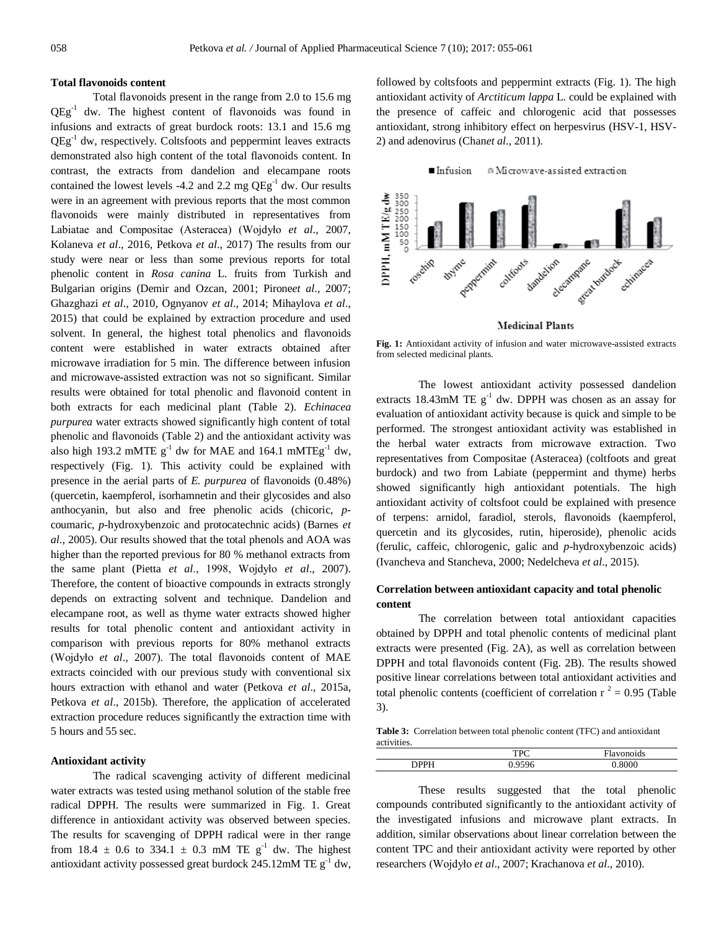#### **Total flavonoids content**

Total flavonoids present in the range from 2.0 to 15.6 mg QEg<sup>-1</sup> dw. The highest content of flavonoids was found in infusions and extracts of great burdock roots: 13.1 and 15.6 mg QEg<sup>-1</sup> dw, respectively. Coltsfoots and peppermint leaves extracts demonstrated also high content of the total flavonoids content. In contrast, the extracts from dandelion and elecampane roots contained the lowest levels -4.2 and 2.2 mg  $QEg<sup>-1</sup>$  dw. Our results were in an agreement with previous reports that the most common flavonoids were mainly distributed in representatives from Labiatae and Compositae (Asteracea) (Wojdyło *et al*., 2007, Kolaneva *et al*., 2016, Petkova *et al*., 2017) The results from our study were near or less than some previous reports for total phenolic content in *Rosa canina* L. fruits from Turkish and Bulgarian origins (Demir and Ozcan, 2001; Pirone*et al*., 2007; Ghazghazi *et al*., 2010, Ognyanov *et al*., 2014; Mihaylova *et al*., 2015) that could be explained by extraction procedure and used solvent. In general, the highest total phenolics and flavonoids content were established in water extracts obtained after microwave irradiation for 5 min. The difference between infusion and microwave-assisted extraction was not so significant. Similar results were obtained for total phenolic and flavonoid content in both extracts for each medicinal plant (Table 2). *Echinacea purpurea* water extracts showed significantly high content of total phenolic and flavonoids (Table 2) and the antioxidant activity was also high 193.2 mMTE  $g^{-1}$  dw for MAE and 164.1 mMTE $g^{-1}$  dw, respectively (Fig. 1). This activity could be explained with presence in the aerial parts of *E. purpurea* of flavonoids (0.48%) (quercetin, kaempferol, isorhamnetin and their glycosides and also anthocyanin, but also and free phenolic acids (chicoric, *p*coumaric, *p*-hydroxybenzoic and protocatechnic acids) (Barnes *et al*., 2005). Our results showed that the total phenols and AOA was higher than the reported previous for 80 % methanol extracts from the same plant (Pietta *et al*., 1998, Wojdyło *et al*., 2007). Therefore, the content of bioactive compounds in extracts strongly depends on extracting solvent and technique. Dandelion and elecampane root, as well as thyme water extracts showed higher results for total phenolic content and antioxidant activity in comparison with previous reports for 80% methanol extracts (Wojdyło *et al*., 2007). The total flavonoids content of MAE extracts coincided with our previous study with conventional six hours extraction with ethanol and water (Petkova *et al*., 2015a, Petkova *et al*., 2015b). Therefore, the application of accelerated extraction procedure reduces significantly the extraction time with 5 hours and 55 sec.

#### **Antioxidant activity**

The radical scavenging activity of different medicinal water extracts was tested using methanol solution of the stable free radical DPPH. The results were summarized in Fig. 1. Great difference in antioxidant activity was observed between species. The results for scavenging of DPPH radical were in ther range from 18.4  $\pm$  0.6 to 334.1  $\pm$  0.3 mM TE g<sup>-1</sup> dw. The highest antioxidant activity possessed great burdock  $245.12 \text{m} \text{M}$  TE  $g^{-1}$  dw, followed by coltsfoots and peppermint extracts (Fig. 1). The high antioxidant activity of *Arctiticum lappa* L. could be explained with the presence of caffeic and chlorogenic acid that possesses antioxidant, strong inhibitory effect on herpesvirus (HSV-1, HSV-2) and adenovirus (Chan*et al*., 2011).



**Fig. 1:** Antioxidant activity of infusion and water microwave-assisted extracts from selected medicinal plants.

The lowest antioxidant activity possessed dandelion extracts 18.43mM TE  $g^{-1}$  dw. DPPH was chosen as an assay for evaluation of antioxidant activity because is quick and simple to be performed. The strongest antioxidant activity was established in the herbal water extracts from microwave extraction. Two representatives from Compositae (Asteracea) (coltfoots and great burdock) and two from Labiate (peppermint and thyme) herbs showed significantly high antioxidant potentials. The high antioxidant activity of coltsfoot could be explained with presence of terpens: arnidol, faradiol, sterols, flavonoids (kaempferol, quercetin and its glycosides, rutin, hiperoside), phenolic acids (ferulic, caffeic, chlorogenic, galic and *p*-hydroxybenzoic acids) (Ivancheva and Stancheva, 2000; Nedelcheva *et al*., 2015).

# **Correlation between antioxidant capacity and total phenolic content**

The correlation between total antioxidant capacities obtained by DPPH and total phenolic contents of medicinal plant extracts were presented (Fig. 2A), as well as correlation between DPPH and total flavonoids content (Fig. 2B). The results showed positive linear correlations between total antioxidant activities and total phenolic contents (coefficient of correlation  $r^2 = 0.95$  (Table 3).

**Table 3:** Correlation between total phenolic content (TFC) and antioxidant activities.

|             | <b>TDC</b><br>11 C | $\blacksquare$<br>lavonoids |
|-------------|--------------------|-----------------------------|
| <b>NDDL</b> | 0.50<              |                             |
|             |                    |                             |

These results suggested that the total phenolic compounds contributed significantly to the antioxidant activity of the investigated infusions and microwave plant extracts. In addition, similar observations about linear correlation between the content TPC and their antioxidant activity were reported by other researchers (Wojdyło *et al*., 2007; Krachanova *et al*., 2010).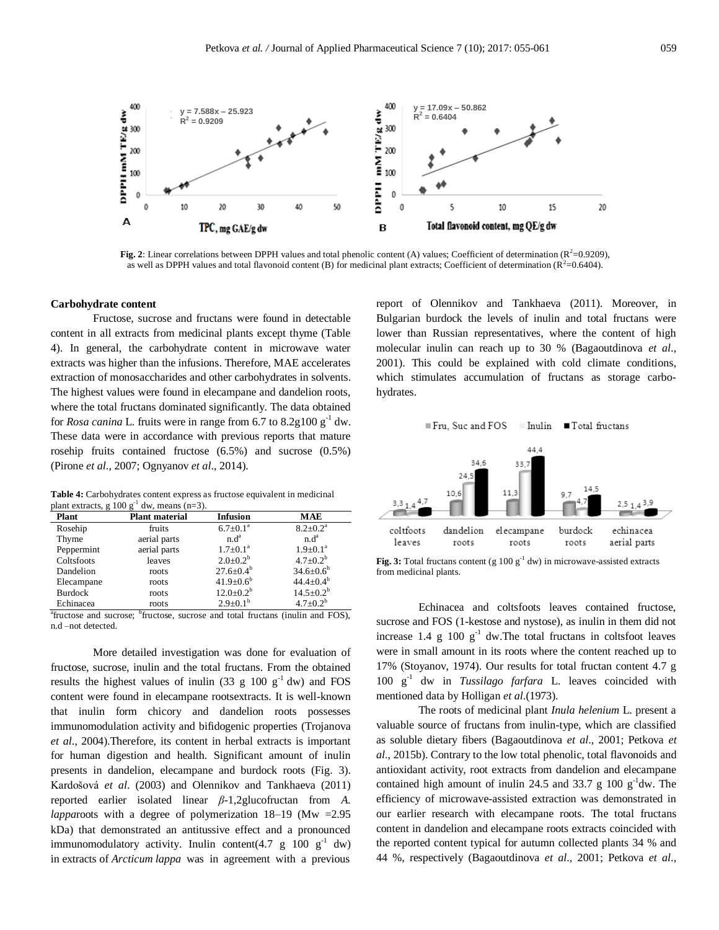

Fig. 2: Linear correlations between DPPH values and total phenolic content (A) values; Coefficient of determination ( $R^2$ =0.9209), as well as DPPH values and total flavonoid content (B) for medicinal plant extracts; Coefficient of determination ( $R^2$ =0.6404).

#### **Carbohydrate content**

Fructose, sucrose and fructans were found in detectable content in all extracts from medicinal plants except thyme (Table 4). In general, the carbohydrate content in microwave water extracts was higher than the infusions. Therefore, MAE accelerates extraction of monosaccharides and other carbohydrates in solvents. The highest values were found in elecampane and dandelion roots, where the total fructans dominated significantly. The data obtained for *Rosa canina* L. fruits were in range from 6.7 to  $8.2g100 g<sup>-1</sup>$  dw. These data were in accordance with previous reports that mature rosehip fruits contained fructose (6.5%) and sucrose (0.5%) (Pirone *et al*., 2007; Ognyanov *et al*., 2014).

**Table 4:** Carbohydrates content express as fructose equivalent in medicinal plant extracts, g  $100 \text{ g}^{-1}$  dw, means  $(n=3)$ .

| <b>Plant</b>   | <b>Plant material</b> | <b>Infusion</b>          | <b>MAE</b>               |
|----------------|-----------------------|--------------------------|--------------------------|
| Rosehip        | fruits                | $6.7 \pm 0.1^{\circ}$    | $8.2 \pm 0.2^{\text{a}}$ |
| Thyme          | aerial parts          | n.d <sup>a</sup>         | n.d <sup>a</sup>         |
| Peppermint     | aerial parts          | $1.7 \pm 0.1^{\text{a}}$ | $1.9 \pm 0.1^a$          |
| Coltsfoots     | leaves                | $2.0 \pm 0.2^b$          | $4.7 \pm 0.2^b$          |
| Dandelion      | roots                 | $27.6 \pm 0.4^b$         | $34.6 \pm 0.6^b$         |
| Elecampane     | roots                 | $41.9 \pm 0.6^{\circ}$   | $44.4 \pm 0.4^{\circ}$   |
| <b>Burdock</b> | roots                 | $12.0 \pm 0.2^b$         | $14.5 \pm 0.2^{\rm b}$   |
| Echinacea      | roots                 | $2.9 \pm 0.1^{\rm b}$    | $4.7+0.2^b$              |

<sup>a</sup>fructose and sucrose; <sup>b</sup>fructose, sucrose and total fructans (inulin and FOS), n.d –not detected.

More detailed investigation was done for evaluation of fructose, sucrose, inulin and the total fructans. From the obtained results the highest values of inulin (33 g 100  $g^{-1}$  dw) and FOS content were found in elecampane rootsextracts. It is well-known that inulin form chicory and dandelion roots possesses immunomodulation activity and bifidogenic properties (Trojanova *et al*., 2004).Therefore, its content in herbal extracts is important for human digestion and health. Significant amount of inulin presents in dandelion, elecampane and burdock roots (Fig. 3). Kardošová *et al*. (2003) and Olennikov and Tankhaeva (2011) reported earlier isolated linear *β*-1,2glucofructan from *A. lappa*roots with a degree of polymerization 18–19 (Mw =2.95 kDa) that demonstrated an antitussive effect and a pronounced immunomodulatory activity. Inulin content(4.7 g 100  $g^{-1}$  dw) in extracts of *Arcticum lappa* was in agreement with a previous

report of Olennikov and Tankhaeva (2011). Moreover, in Bulgarian burdock the levels of inulin and total fructans were lower than Russian representatives, where the content of high molecular inulin can reach up to 30 % (Bagaoutdinova *et al*., 2001). This could be explained with cold climate conditions, which stimulates accumulation of fructans as storage carbohydrates.



**Fig. 3:** Total fructans content (g  $100 \text{ g}^{-1}$  dw) in microwave-assisted extracts from medicinal plants.

Echinacea and coltsfoots leaves contained fructose, sucrose and FOS (1-kestose and nystose), as inulin in them did not increase 1.4 g 100  $g^{-1}$  dw. The total fructans in coltsfoot leaves were in small amount in its roots where the content reached up to 17% (Stoyanov, 1974). Our results for total fructan content 4.7 g 100 g-1 dw in *Tussilago farfara* L. leaves coincided with mentioned data by Holligan *et al*.(1973).

The roots of medicinal plant *Inula helenium* L. present a valuable source of fructans from inulin-type, which are classified as soluble dietary fibers (Bagaoutdinova *et al*., 2001; Petkova *et al*., 2015b). Contrary to the low total phenolic, total flavonoids and antioxidant activity, root extracts from dandelion and elecampane contained high amount of inulin 24.5 and 33.7 g 100  $g^{-1}$ dw. The efficiency of microwave-assisted extraction was demonstrated in our earlier research with elecampane roots. The total fructans content in dandelion and elecampane roots extracts coincided with the reported content typical for autumn collected plants 34 % and 44 %, respectively (Bagaoutdinova *et al*., 2001; Petkova *et al*.,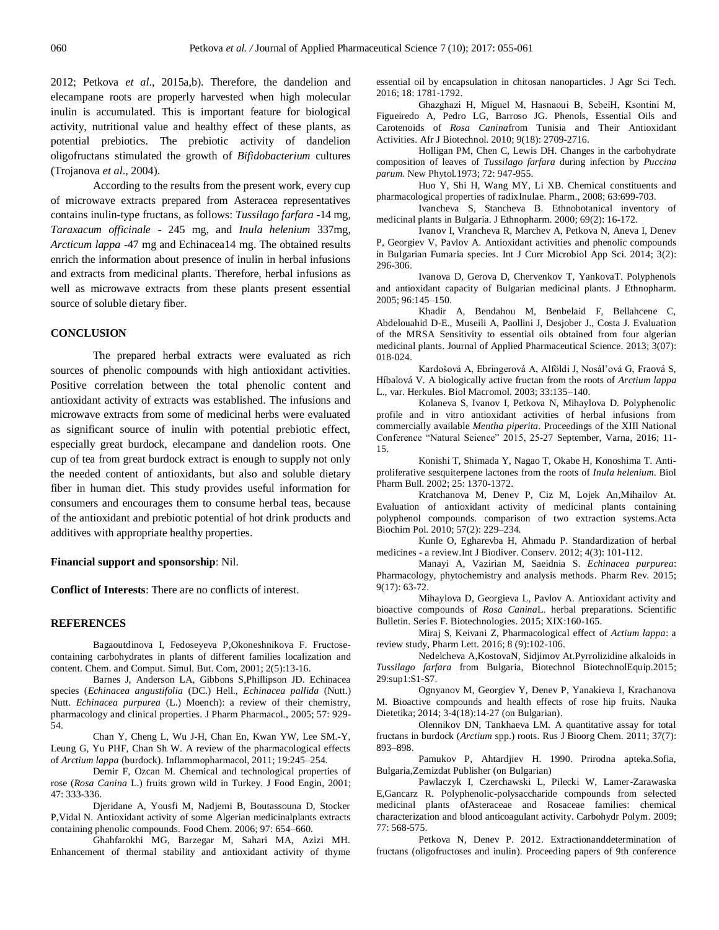2012; Petkova *et al*., 2015a,b). Therefore, the dandelion and elecampane roots are properly harvested when high molecular inulin is accumulated. This is important feature for biological activity, nutritional value and healthy effect of these plants, as potential prebiotics. The prebiotic activity of dandelion oligofructans stimulated the growth of *Bifidobacterium* cultures (Trojanova *et al*., 2004).

According to the results from the present work, every cup of microwave extracts prepared from Asteracea representatives contains inulin-type fructans, as follows: *Tussilago farfara* -14 mg, *Taraxacum officinale* - 245 mg, and *Inula helenium* 337mg, *Arcticum lappa* -47 mg and Echinacea14 mg. The obtained results enrich the information about presence of inulin in herbal infusions and extracts from medicinal plants. Therefore, herbal infusions as well as microwave extracts from these plants present essential source of soluble dietary fiber.

#### **CONCLUSION**

The prepared herbal extracts were evaluated as rich sources of phenolic compounds with high antioxidant activities. Positive correlation between the total phenolic content and antioxidant activity of extracts was established. The infusions and microwave extracts from some of medicinal herbs were evaluated as significant source of inulin with potential prebiotic effect, especially great burdock, elecampane and dandelion roots. One cup of tea from great burdock extract is enough to supply not only the needed content of antioxidants, but also and soluble dietary fiber in human diet. This study provides useful information for consumers and encourages them to consume herbal teas, because of the antioxidant and prebiotic potential of hot drink products and additives with appropriate healthy properties.

#### **Financial support and sponsorship**: Nil.

**Conflict of Interests**: There are no conflicts of interest.

#### **REFERENCES**

Bagaoutdinova I, Fedoseyeva P,Okoneshnikova F. Fructosecontaining carbohydrates in plants of different families localization and content. Chem. and Comput. Simul. But. Com, 2001; 2(5):13-16.

Barnes J, Anderson LA, Gibbons S,Phillipson JD. Echinacea species (*Echinacea angustifolia* (DC.) Hell., *Echinacea pallida* (Nutt.) Nutt. *Echinacea purpurea* (L.) Moench): a review of their chemistry, pharmacology and clinical properties. J Pharm Pharmacol., 2005; 57: 929- 54.

Chan Y, Cheng L, Wu J-H, Chan En, Kwan YW, Lee SM.-Y, Leung G, Yu PHF, Chan Sh W. A review of the pharmacological effects of *Arctium lappa* (burdock). Inflammopharmacol, 2011; 19:245–254.

Demir F, Ozcan M. Chemical and technological properties of rose (*Rosa Canina* L.) fruits grown wild in Turkey. J Food Engin, 2001; 47: 333-336.

Djeridane A, Yousfi M, Nadjemi B, Boutassouna D, Stocker P,Vidal N. Antioxidant activity of some Algerian medicinalplants extracts containing phenolic compounds. Food Chem. 2006; 97: 654–660.

Ghahfarokhi MG, Barzegar M, Sahari MA, Azizi MH. Enhancement of thermal stability and antioxidant activity of thyme essential oil by encapsulation in chitosan nanoparticles. J Agr Sci Tech. 2016; 18: 1781-1792.

Ghazghazi Н, Miguel M, Hasnaoui B, SebeiH, Ksontini M, Figueiredo A, Pedro LG, Barroso JG. Phenols, Essential Oils and Carotenoids of *Rosa Canina*from Tunisia and Their Antioxidant Activities. Afr J Biotechnol. 2010; 9(18): 2709-2716.

Holligan PM, Chen C, Lewis DH. Changes in the carbohydrate composition of leaves of *Tussilago farfara* during infection by *Puccina parum*. New Phytol*.*1973; 72: 947-955.

Huo Y, Shi H, Wang MY, Li XB. Chemical constituents and pharmacological properties of radixInulae. Pharm., 2008; 63:699-703.

Ivancheva S, Stancheva B. Ethnobotanical inventory of medicinal plants in Bulgaria. J Ethnopharm. 2000; 69(2): 16-172.

Ivanov I, Vrancheva R, Marchev A, Petkova N, Aneva I, Denev P, Georgiev V, Pavlov A. Antioxidant activities and phenolic compounds in Bulgarian Fumaria species. Int J Curr Microbiol App Sci. 2014; 3(2): 296-306.

Ivanova D, Gerova D, Chervenkov T, YankovaT. Polyphenols and antioxidant capacity of Bulgarian medicinal plants. J Ethnopharm. 2005; 96:145–150.

Khadir A, Bendahou M, Benbelaid F, Bellahcene C, Abdelouahid D-E., Museili A, Paollini J, Desjober J., Costa J. Evaluation of the MRSA Sensitivity to essential oils obtained from four algerian medicinal plants. Journal of Applied Pharmaceutical Science. 2013; 3(07): 018-024.

Kardošová A, Ebringerová A, Alföldi J, Nosál'ová G, Fraová S, Híbalová V. A biologically active fructan from the roots of *Arctium lappa* L., var. Herkules. Biol Macromol. 2003; 33:135–140.

Kolaneva S, Ivanov I, Petkova N, Mihaylova D. Polyphenolic profile and in vitro antioxidant activities of herbal infusions from commercially available *Mentha piperita*. Proceedings of the XIII National Conference "Natural Science" 2015, 25-27 September, Varna, 2016; 11- 15.

Konishi T, Shimada Y, Nagao T, Okabe H, Konoshima T. Antiproliferative sesquiterpene lactones from the roots of *Inula helenium*. Biol Pharm Bull. 2002; 25: 1370-1372.

Kratchanova M, Denev P, Ciz M, Lojek An,Mihailov At. Evaluation of antioxidant activity of medicinal plants containing polyphenol compounds. comparison of two extraction systems.Acta Biochim Pol. 2010; 57(2): 229–234.

Kunle O, Egharevba H, Ahmadu P. Standardization of herbal medicines - a review.Int J Biodiver. Conserv. 2012; 4(3): 101-112.

Manayi A, Vazirian M, Saeidnia S. *Echinacea purpurea*: Pharmacology, phytochemistry and analysis methods. Pharm Rev. 2015; 9(17): 63-72.

Mihaylova D, Georgieva L, Pavlov A. Antioxidant activity and bioactive compounds of *Rosa Canina*L. herbal preparations. Scientific Bulletin. Series F. Biotechnologies. 2015; XIX:160-165.

Miraj S, Keivani Z, Pharmacological effect of *Actium lappa*: a review study, Pharm Lett. 2016; 8 (9):102-106.

Nedelcheva A,KostovaN, Sidjimov At.Pyrrolizidine alkaloids in *Tussilago farfara* from Bulgaria, Biotechnol BiotechnolEquip.2015; 29:sup1:S1-S7.

Ognyanov M, Georgiev Y, Denev P, Yanakieva I, Krachanova M. Bioactive compounds and health effects of rose hip fruits. Nauka Dietetika; 2014; 3-4(18):14-27 (on Bulgarian).

Olennikov DN, Tankhaeva LM. A quantitative assay for total fructans in burdock (*Arctium* spp.) roots. Rus J Bioorg Chem. 2011; 37(7): 893–898.

Pamukov P, Ahtardjiev H. 1990. Prirodna apteka.Sofia, Bulgaria,Zemizdat Publisher (on Bulgarian)

Pawlaczyk I, Czerchawski L, Pilecki W, Lamer-Zarawaska E,Gancarz R. Polyphenolic-polysaccharide compounds from selected medicinal plants ofAsteraceae and Rosaceae families: chemical characterization and blood anticoagulant activity. Carbohydr Polym. 2009; 77: 568-575.

Petkova N, Denev P. 2012. Extractionanddetermination of fructans (oligofructoses and inulin). Proceeding papers of 9th conference